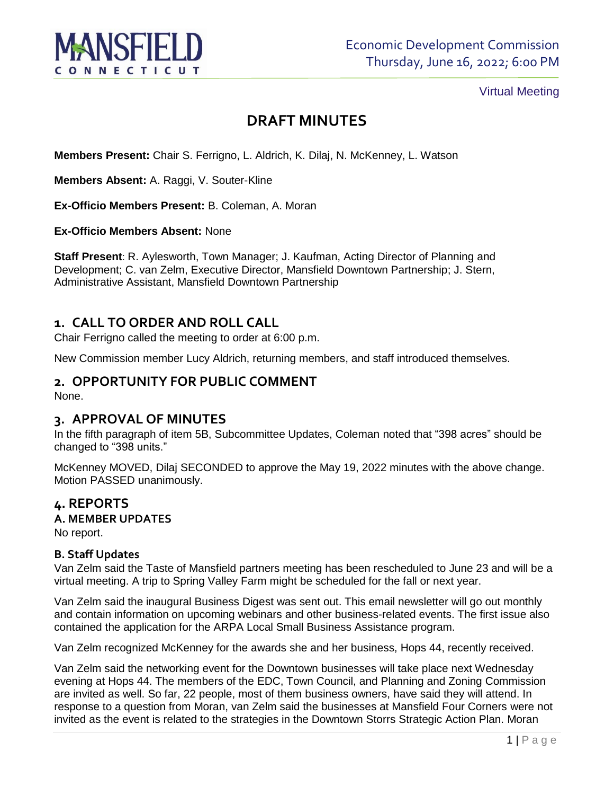

# Virtual Meeting

# **DRAFT MINUTES**

**Members Present:** Chair S. Ferrigno, L. Aldrich, K. Dilaj, N. McKenney, L. Watson

**Members Absent:** A. Raggi, V. Souter-Kline

**Ex-Officio Members Present:** B. Coleman, A. Moran

**Ex-Officio Members Absent:** None

**Staff Present**: R. Aylesworth, Town Manager; J. Kaufman, Acting Director of Planning and Development; C. van Zelm, Executive Director, Mansfield Downtown Partnership; J. Stern, Administrative Assistant, Mansfield Downtown Partnership

# **1. CALL TO ORDER AND ROLL CALL**

Chair Ferrigno called the meeting to order at 6:00 p.m.

New Commission member Lucy Aldrich, returning members, and staff introduced themselves.

# **2. OPPORTUNITY FOR PUBLIC COMMENT**

None.

# **3. APPROVAL OF MINUTES**

In the fifth paragraph of item 5B, Subcommittee Updates, Coleman noted that "398 acres" should be changed to "398 units."

McKenney MOVED, Dilaj SECONDED to approve the May 19, 2022 minutes with the above change. Motion PASSED unanimously.

# **4. REPORTS**

# **A. MEMBER UPDATES**

No report.

#### **B. Staff Updates**

Van Zelm said the Taste of Mansfield partners meeting has been rescheduled to June 23 and will be a virtual meeting. A trip to Spring Valley Farm might be scheduled for the fall or next year.

Van Zelm said the inaugural Business Digest was sent out. This email newsletter will go out monthly and contain information on upcoming webinars and other business-related events. The first issue also contained the application for the ARPA Local Small Business Assistance program.

Van Zelm recognized McKenney for the awards she and her business, Hops 44, recently received.

Van Zelm said the networking event for the Downtown businesses will take place next Wednesday evening at Hops 44. The members of the EDC, Town Council, and Planning and Zoning Commission are invited as well. So far, 22 people, most of them business owners, have said they will attend. In response to a question from Moran, van Zelm said the businesses at Mansfield Four Corners were not invited as the event is related to the strategies in the Downtown Storrs Strategic Action Plan. Moran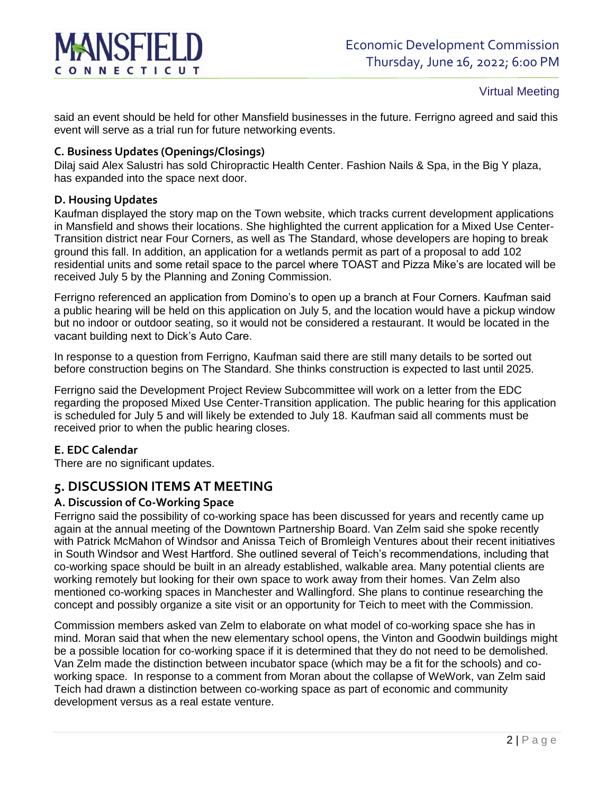# CONNECTICUT

# Virtual Meeting

said an event should be held for other Mansfield businesses in the future. Ferrigno agreed and said this event will serve as a trial run for future networking events.

## **C. Business Updates (Openings/Closings)**

Dilaj said Alex Salustri has sold Chiropractic Health Center. Fashion Nails & Spa, in the Big Y plaza, has expanded into the space next door.

#### **D. Housing Updates**

Kaufman displayed the story map on the Town website, which tracks current development applications in Mansfield and shows their locations. She highlighted the current application for a Mixed Use Center-Transition district near Four Corners, as well as The Standard, whose developers are hoping to break ground this fall. In addition, an application for a wetlands permit as part of a proposal to add 102 residential units and some retail space to the parcel where TOAST and Pizza Mike's are located will be received July 5 by the Planning and Zoning Commission.

Ferrigno referenced an application from Domino's to open up a branch at Four Corners. Kaufman said a public hearing will be held on this application on July 5, and the location would have a pickup window but no indoor or outdoor seating, so it would not be considered a restaurant. It would be located in the vacant building next to Dick's Auto Care.

In response to a question from Ferrigno, Kaufman said there are still many details to be sorted out before construction begins on The Standard. She thinks construction is expected to last until 2025.

Ferrigno said the Development Project Review Subcommittee will work on a letter from the EDC regarding the proposed Mixed Use Center-Transition application. The public hearing for this application is scheduled for July 5 and will likely be extended to July 18. Kaufman said all comments must be received prior to when the public hearing closes.

# **E. EDC Calendar**

There are no significant updates.

# **5. DISCUSSION ITEMS AT MEETING**

#### **A. Discussion of Co-Working Space**

Ferrigno said the possibility of co-working space has been discussed for years and recently came up again at the annual meeting of the Downtown Partnership Board. Van Zelm said she spoke recently with Patrick McMahon of Windsor and Anissa Teich of Bromleigh Ventures about their recent initiatives in South Windsor and West Hartford. She outlined several of Teich's recommendations, including that co-working space should be built in an already established, walkable area. Many potential clients are working remotely but looking for their own space to work away from their homes. Van Zelm also mentioned co-working spaces in Manchester and Wallingford. She plans to continue researching the concept and possibly organize a site visit or an opportunity for Teich to meet with the Commission.

Commission members asked van Zelm to elaborate on what model of co-working space she has in mind. Moran said that when the new elementary school opens, the Vinton and Goodwin buildings might be a possible location for co-working space if it is determined that they do not need to be demolished. Van Zelm made the distinction between incubator space (which may be a fit for the schools) and coworking space. In response to a comment from Moran about the collapse of WeWork, van Zelm said Teich had drawn a distinction between co-working space as part of economic and community development versus as a real estate venture.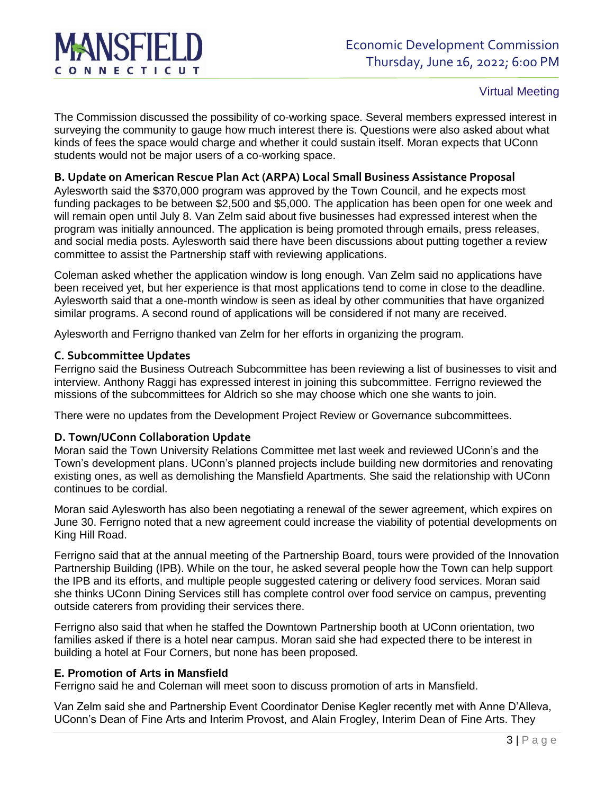

#### Virtual Meeting

The Commission discussed the possibility of co-working space. Several members expressed interest in surveying the community to gauge how much interest there is. Questions were also asked about what kinds of fees the space would charge and whether it could sustain itself. Moran expects that UConn students would not be major users of a co-working space.

## **B. Update on American Rescue Plan Act (ARPA) Local Small Business Assistance Proposal**

Aylesworth said the \$370,000 program was approved by the Town Council, and he expects most funding packages to be between \$2,500 and \$5,000. The application has been open for one week and will remain open until July 8. Van Zelm said about five businesses had expressed interest when the program was initially announced. The application is being promoted through emails, press releases, and social media posts. Aylesworth said there have been discussions about putting together a review committee to assist the Partnership staff with reviewing applications.

Coleman asked whether the application window is long enough. Van Zelm said no applications have been received yet, but her experience is that most applications tend to come in close to the deadline. Aylesworth said that a one-month window is seen as ideal by other communities that have organized similar programs. A second round of applications will be considered if not many are received.

Aylesworth and Ferrigno thanked van Zelm for her efforts in organizing the program.

#### **C. Subcommittee Updates**

Ferrigno said the Business Outreach Subcommittee has been reviewing a list of businesses to visit and interview. Anthony Raggi has expressed interest in joining this subcommittee. Ferrigno reviewed the missions of the subcommittees for Aldrich so she may choose which one she wants to join.

There were no updates from the Development Project Review or Governance subcommittees.

#### **D. Town/UConn Collaboration Update**

Moran said the Town University Relations Committee met last week and reviewed UConn's and the Town's development plans. UConn's planned projects include building new dormitories and renovating existing ones, as well as demolishing the Mansfield Apartments. She said the relationship with UConn continues to be cordial.

Moran said Aylesworth has also been negotiating a renewal of the sewer agreement, which expires on June 30. Ferrigno noted that a new agreement could increase the viability of potential developments on King Hill Road.

Ferrigno said that at the annual meeting of the Partnership Board, tours were provided of the Innovation Partnership Building (IPB). While on the tour, he asked several people how the Town can help support the IPB and its efforts, and multiple people suggested catering or delivery food services. Moran said she thinks UConn Dining Services still has complete control over food service on campus, preventing outside caterers from providing their services there.

Ferrigno also said that when he staffed the Downtown Partnership booth at UConn orientation, two families asked if there is a hotel near campus. Moran said she had expected there to be interest in building a hotel at Four Corners, but none has been proposed.

#### **E. Promotion of Arts in Mansfield**

Ferrigno said he and Coleman will meet soon to discuss promotion of arts in Mansfield.

Van Zelm said she and Partnership Event Coordinator Denise Kegler recently met with Anne D'Alleva, UConn's Dean of Fine Arts and Interim Provost, and Alain Frogley, Interim Dean of Fine Arts. They